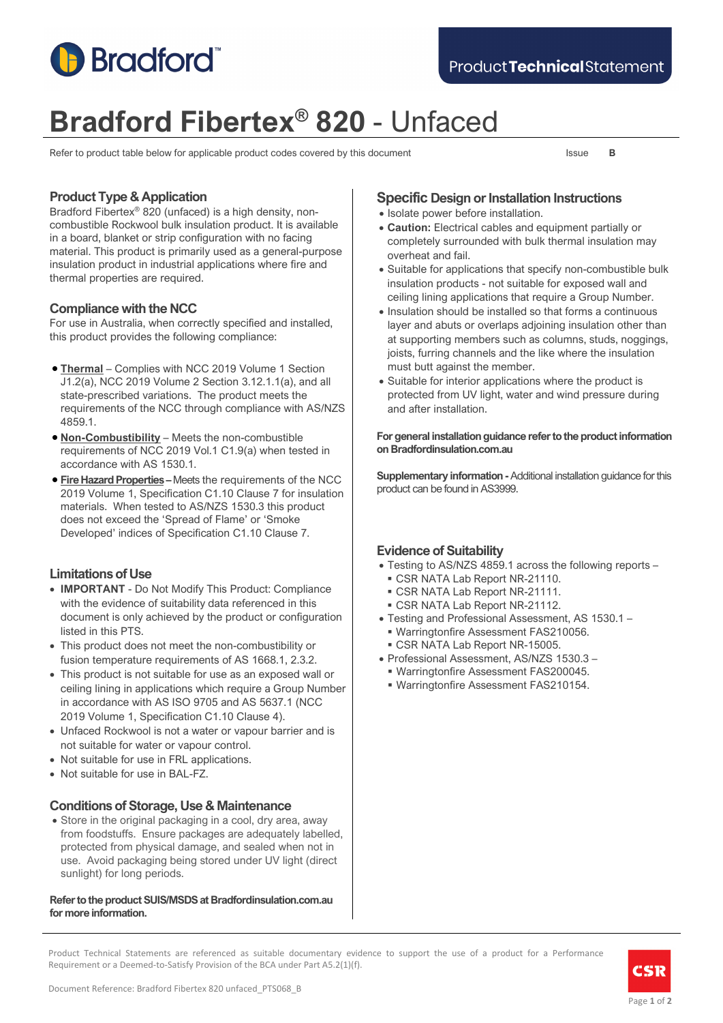

# **Bradford Fibertex® 820** - Unfaced

Refer to product table below for applicable product codes covered by this document Issue **B** 

# **Product Type & Application**

Bradford Fibertex® 820 (unfaced) is a high density, noncombustible Rockwool bulk insulation product. It is available in a board, blanket or strip configuration with no facing material. This product is primarily used as a general-purpose insulation product in industrial applications where fire and thermal properties are required.

# **Compliance with the NCC**

For use in Australia, when correctly specified and installed, this product provides the following compliance:

- **Thermal** Complies with NCC 2019 Volume 1 Section J1.2(a), NCC 2019 Volume 2 Section 3.12.1.1(a), and all state-prescribed variations. The product meets the requirements of the NCC through compliance with AS/NZS 4859.1.
- **Non-Combustibility** Meets the non-combustible requirements of NCC 2019 Vol.1 C1.9(a) when tested in accordance with AS 1530.1.
- **Fire Hazard Properties –** Meets the requirements of the NCC 2019 Volume 1, Specification C1.10 Clause 7 for insulation materials. When tested to AS/NZS 1530.3 this product does not exceed the 'Spread of Flame' or 'Smoke Developed' indices of Specification C1.10 Clause 7.

# **Limitations of Use**

- **IMPORTANT** Do Not Modify This Product: Compliance with the evidence of suitability data referenced in this document is only achieved by the product or configuration listed in this PTS.
- This product does not meet the non-combustibility or fusion temperature requirements of AS 1668.1, 2.3.2.
- This product is not suitable for use as an exposed wall or ceiling lining in applications which require a Group Number in accordance with AS ISO 9705 and AS 5637.1 (NCC 2019 Volume 1, Specification C1.10 Clause 4).
- Unfaced Rockwool is not a water or vapour barrier and is not suitable for water or vapour control.
- Not suitable for use in FRL applications.
- Not suitable for use in BAL-FZ.

## **Conditions of Storage, Use & Maintenance**

• Store in the original packaging in a cool, dry area, away from foodstuffs. Ensure packages are adequately labelled, protected from physical damage, and sealed when not in use. Avoid packaging being stored under UV light (direct sunlight) for long periods.

#### **Refer to the product SUIS/MSDS at Bradfordinsulation.com.au for more information.**

# **Specific Design or Installation Instructions**

- Isolate power before installation.
- **Caution:** Electrical cables and equipment partially or completely surrounded with bulk thermal insulation may overheat and fail.
- Suitable for applications that specify non-combustible bulk insulation products - not suitable for exposed wall and ceiling lining applications that require a Group Number.
- Insulation should be installed so that forms a continuous layer and abuts or overlaps adjoining insulation other than at supporting members such as columns, studs, noggings, joists, furring channels and the like where the insulation must butt against the member.
- Suitable for interior applications where the product is protected from UV light, water and wind pressure during and after installation.

#### **For general installation guidance refer to the product information on Bradfordinsulation.com.au**

**Supplementary information -**Additional installation guidance for this product can be found in AS3999.

# **Evidence of Suitability**

- Testing to AS/NZS 4859.1 across the following reports
	- CSR NATA Lab Report NR-21110.
	- CSR NATA Lab Report NR-21111.
	- CSR NATA Lab Report NR-21112.
- Testing and Professional Assessment, AS 1530.1 Warringtonfire Assessment FAS210056.
- CSR NATA Lab Report NR-15005.
- Professional Assessment, AS/NZS 1530.3 –
- Warringtonfire Assessment FAS200045.
- Warringtonfire Assessment FAS210154.

Product Technical Statements are referenced as suitable documentary evidence to support the use of a product for a Performance Requirement or a Deemed-to-Satisfy Provision of the BCA under Part A5.2(1)(f).